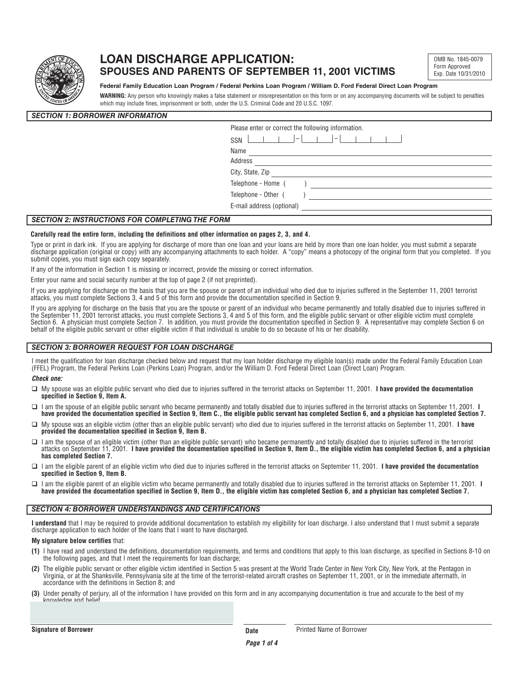

# **LOAN DISCHARGE APPLICATION: SPOUSES AND PARENTS OF SEPTEMBER 11, 2001 VICTIMS**

OMB No. 1845-0079 Form Approved Exp. Date 10/31/2010

#### **Federal Family Education Loan Program / Federal Perkins Loan Program / William D. Ford Federal Direct Loan Program**

**WARNING:** Any person who knowingly makes a false statement or misrepresentation on this form or on any accompanying documents will be subject to penalties which may include fines, imprisonment or both, under the U.S. Criminal Code and 20 U.S.C. 1097.

### *SECTION 1: BORROWER INFORMATION*

| Please enter or correct the following information.                                                                          |
|-----------------------------------------------------------------------------------------------------------------------------|
|                                                                                                                             |
| Name<br><u> 1989 - John Harry Harry Harry Harry Harry Harry Harry Harry Harry Harry Harry Harry Harry Harry Harry Harry</u> |
| Address                                                                                                                     |
| City, State, Zip                                                                                                            |
| Telephone - Home ( )                                                                                                        |
| Telephone - Other (<br>$\mathcal{L}^{\mathcal{L}}$ and $\mathcal{L}^{\mathcal{L}}$                                          |
| E-mail address (optional)                                                                                                   |
|                                                                                                                             |

### *SECTION 2: INSTRUCTIONS FOR COMPLETING THE FORM*

#### **Carefully read the entire form, including the definitions and other information on pages 2, 3, and 4.**

Type or print in dark ink. If you are applying for discharge of more than one loan and your loans are held by more than one loan holder, you must submit a separate discharge application (original or copy) with any accompanying attachments to each holder. A "copy" means a photocopy of the original form that you completed. If you submit copies, you must sign each copy separately.

If any of the information in Section 1 is missing or incorrect, provide the missing or correct information.

Enter your name and social security number at the top of page 2 (if not preprinted).

If you are applying for discharge on the basis that you are the spouse or parent of an individual who died due to injuries suffered in the September 11, 2001 terrorist attacks, you must complete Sections 3, 4 and 5 of this form and provide the documentation specified in Section 9.

If you are applying for discharge on the basis that you are the spouse or parent of an individual who became permanently and totally disabled due to injuries suffered in the September 11, 2001 terrorist attacks, you must complete Sections 3, 4 and 5 of this form, and the eligible public servant or other eligible victim must complete Section 6. A physician must complete Section 7. In addition, you must provide the documentation specified in Section 9. A representative may complete Section 6 on behalf of the eligible public servant or other eligible victim if that individual is unable to do so because of his or her disability.

### **SECTION 3: BORROWER REQUEST FOR LOAN DISCHARGE**

I meet the qualification for loan discharge checked below and request that my loan holder discharge my eligible loan(s) made under the Federal Family Education Loan (FFEL) Program, the Federal Perkins Loan (Perkins Loan) Program, and/or the William D. Ford Federal Direct Loan (Direct Loan) Program.

#### *Check one:*

- � My spouse was an eligible public servant who died due to injuries suffered in the terrorist attacks on September 11, 2001. **I have provided the documentation specified in Section 9, Item A.**
- � I am the spouse of an eligible public servant who became permanently and totally disabled due to injuries suffered in the terrorist attacks on September 11, 2001. **I have provided the documentation specified in Section 9, Item C., the eligible public servant has completed Section 6, and a physician has completed Section 7.**
- � My spouse was an eligible victim (other than an eligible public servant) who died due to injuries suffered in the terrorist attacks on September 11, 2001. **I have provided the documentation specified in Section 9, Item B.**
- $\Box$  I am the spouse of an eligible victim (other than an eligible public servant) who became permanently and totally disabled due to injuries suffered in the terrorist attacks on September 11, 2001. **I have provided the documentation specified in Section 9, Item D., the eligible victim has completed Section 6, and a physician has completed Section 7.**
- � I am the eligible parent of an eligible victim who died due to injuries suffered in the terrorist attacks on September 11, 2001. **I have provided the documentation specified in Section 9, Item B.**
- � I am the eligible parent of an eligible victim who became permanently and totally disabled due to injuries suffered in the terrorist attacks on September 11, 2001. **I have provided the documentation specified in Section 9, Item D., the eligible victim has completed Section 6, and a physician has completed Section 7.**

# *SECTION 4: BORROWER UNDERSTANDINGS AND CERTIFICATIONS*

**I understand** that I may be required to provide additional documentation to establish my eligibility for loan discharge. I also understand that I must submit a separate discharge application to each holder of the loans that I want to have discharged.

#### **My signature below certifies** that:

- **(1)** I have read and understand the definitions, documentation requirements, and terms and conditions that apply to this loan discharge, as specified in Sections 8-10 on the following pages, and that I meet the requirements for loan discharge;
- **(2)** The eligible public servant or other eligible victim identified in Section 5 was present at the World Trade Center in New York City, New York, at the Pentagon in Virginia, or at the Shanksville, Pennsylvania site at the time of the terrorist-related aircraft crashes on September 11, 2001, or in the immediate aftermath, in accordance with the definitions in Section 8; and
- **(3)** Under penalty of perjury, all of the information I have provided on this form and in any accompanying documentation is true and accurate to the best of my knowledge and belief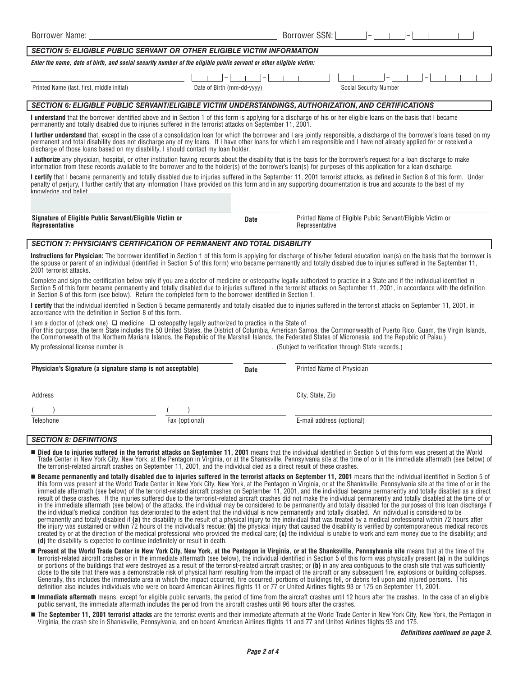| Borrower Name:                                                                                                                                                                                                                                                                                                                                                                                                                                                                                                                                                                                                                                                                                                                                                                                                                                                                                                                                                                                                                                                                                                                                                                                                                                                                                                                                                                                                                                                                                                                                                                                                                                                                                                                                                                                                                                                       | Borrower SSN:  <br>$ - $                                                     |  |
|----------------------------------------------------------------------------------------------------------------------------------------------------------------------------------------------------------------------------------------------------------------------------------------------------------------------------------------------------------------------------------------------------------------------------------------------------------------------------------------------------------------------------------------------------------------------------------------------------------------------------------------------------------------------------------------------------------------------------------------------------------------------------------------------------------------------------------------------------------------------------------------------------------------------------------------------------------------------------------------------------------------------------------------------------------------------------------------------------------------------------------------------------------------------------------------------------------------------------------------------------------------------------------------------------------------------------------------------------------------------------------------------------------------------------------------------------------------------------------------------------------------------------------------------------------------------------------------------------------------------------------------------------------------------------------------------------------------------------------------------------------------------------------------------------------------------------------------------------------------------|------------------------------------------------------------------------------|--|
| <b>SECTION 5: ELIGIBLE PUBLIC SERVANT OR OTHER ELIGIBLE VICTIM INFORMATION</b>                                                                                                                                                                                                                                                                                                                                                                                                                                                                                                                                                                                                                                                                                                                                                                                                                                                                                                                                                                                                                                                                                                                                                                                                                                                                                                                                                                                                                                                                                                                                                                                                                                                                                                                                                                                       |                                                                              |  |
| Enter the name, date of birth, and social security number of the eligible public servant or other eligible victim:                                                                                                                                                                                                                                                                                                                                                                                                                                                                                                                                                                                                                                                                                                                                                                                                                                                                                                                                                                                                                                                                                                                                                                                                                                                                                                                                                                                                                                                                                                                                                                                                                                                                                                                                                   |                                                                              |  |
|                                                                                                                                                                                                                                                                                                                                                                                                                                                                                                                                                                                                                                                                                                                                                                                                                                                                                                                                                                                                                                                                                                                                                                                                                                                                                                                                                                                                                                                                                                                                                                                                                                                                                                                                                                                                                                                                      |                                                                              |  |
| Date of Birth (mm-dd-yyyy)<br>Printed Name (last, first, middle initial)                                                                                                                                                                                                                                                                                                                                                                                                                                                                                                                                                                                                                                                                                                                                                                                                                                                                                                                                                                                                                                                                                                                                                                                                                                                                                                                                                                                                                                                                                                                                                                                                                                                                                                                                                                                             | <b>Social Security Number</b>                                                |  |
| SECTION 6: ELIGIBLE PUBLIC SERVANT/ELIGIBLE VICTIM UNDERSTANDINGS, AUTHORIZATION, AND CERTIFICATIONS                                                                                                                                                                                                                                                                                                                                                                                                                                                                                                                                                                                                                                                                                                                                                                                                                                                                                                                                                                                                                                                                                                                                                                                                                                                                                                                                                                                                                                                                                                                                                                                                                                                                                                                                                                 |                                                                              |  |
| I understand that the borrower identified above and in Section 1 of this form is applying for a discharge of his or her eligible loans on the basis that I became<br>permanently and totally disabled due to injuries suffered in the terrorist attacks on September 11, 2001.                                                                                                                                                                                                                                                                                                                                                                                                                                                                                                                                                                                                                                                                                                                                                                                                                                                                                                                                                                                                                                                                                                                                                                                                                                                                                                                                                                                                                                                                                                                                                                                       |                                                                              |  |
| I further understand that, except in the case of a consolidation loan for which the borrower and I are jointly responsible, a discharge of the borrower's loans based on my<br>permanent and total disability does not discharge any of my loans. If I have other loans for which I am responsible and I have not already applied for or received a<br>discharge of those loans based on my disability. I should contact my loan holder.                                                                                                                                                                                                                                                                                                                                                                                                                                                                                                                                                                                                                                                                                                                                                                                                                                                                                                                                                                                                                                                                                                                                                                                                                                                                                                                                                                                                                             |                                                                              |  |
| I authorize any physician, hospital, or other institution having records about the disability that is the basis for the borrower's request for a loan discharge to make<br>information from these records available to the borrower and to the holder(s) of the borrower's loan(s) for purposes of this application for a loan discharge.                                                                                                                                                                                                                                                                                                                                                                                                                                                                                                                                                                                                                                                                                                                                                                                                                                                                                                                                                                                                                                                                                                                                                                                                                                                                                                                                                                                                                                                                                                                            |                                                                              |  |
| I certify that I became permanently and totally disabled due to injuries suffered in the September 11, 2001 terrorist attacks, as defined in Section 8 of this form. Under<br>penalty of perjury, I further certify that any information I have provided on this form and in any supporting documentation is true and accurate to the best of my<br>knowledge and belief.                                                                                                                                                                                                                                                                                                                                                                                                                                                                                                                                                                                                                                                                                                                                                                                                                                                                                                                                                                                                                                                                                                                                                                                                                                                                                                                                                                                                                                                                                            |                                                                              |  |
|                                                                                                                                                                                                                                                                                                                                                                                                                                                                                                                                                                                                                                                                                                                                                                                                                                                                                                                                                                                                                                                                                                                                                                                                                                                                                                                                                                                                                                                                                                                                                                                                                                                                                                                                                                                                                                                                      |                                                                              |  |
| Signature of Eligible Public Servant/Eligible Victim or<br><b>Date</b><br><b>Representative</b>                                                                                                                                                                                                                                                                                                                                                                                                                                                                                                                                                                                                                                                                                                                                                                                                                                                                                                                                                                                                                                                                                                                                                                                                                                                                                                                                                                                                                                                                                                                                                                                                                                                                                                                                                                      | Printed Name of Eligible Public Servant/Eligible Victim or<br>Representative |  |
| SECTION 7: PHYSICIAN'S CERTIFICATION OF PERMANENT AND TOTAL DISABILITY                                                                                                                                                                                                                                                                                                                                                                                                                                                                                                                                                                                                                                                                                                                                                                                                                                                                                                                                                                                                                                                                                                                                                                                                                                                                                                                                                                                                                                                                                                                                                                                                                                                                                                                                                                                               |                                                                              |  |
| Instructions for Physician: The borrower identified in Section 1 of this form is applying for discharge of his/her federal education loan(s) on the basis that the borrower is<br>the spouse or parent of an individual (identified in Section 5 of this form) who became permanently and totally disabled due to injuries suffered in the September 11,<br>2001 terrorist attacks.                                                                                                                                                                                                                                                                                                                                                                                                                                                                                                                                                                                                                                                                                                                                                                                                                                                                                                                                                                                                                                                                                                                                                                                                                                                                                                                                                                                                                                                                                  |                                                                              |  |
| Complete and sign the certification below only if you are a doctor of medicine or osteopathy legally authorized to practice in a State and if the individual identified in<br>Section 5 of this form became permanently and totally disabled due to injuries suffered in the terrorist attacks on September 11, 2001, in accordance with the definition                                                                                                                                                                                                                                                                                                                                                                                                                                                                                                                                                                                                                                                                                                                                                                                                                                                                                                                                                                                                                                                                                                                                                                                                                                                                                                                                                                                                                                                                                                              |                                                                              |  |
| in Section 8 of this form (see below). Return the completed form to the borrower identified in Section 1.                                                                                                                                                                                                                                                                                                                                                                                                                                                                                                                                                                                                                                                                                                                                                                                                                                                                                                                                                                                                                                                                                                                                                                                                                                                                                                                                                                                                                                                                                                                                                                                                                                                                                                                                                            |                                                                              |  |
| <b>I certify</b> that the individual identified in Section 5 became permanently and totally disabled due to injuries suffered in the terrorist attacks on September 11, 2001, in<br>accordance with the definition in Section 8 of this form.                                                                                                                                                                                                                                                                                                                                                                                                                                                                                                                                                                                                                                                                                                                                                                                                                                                                                                                                                                                                                                                                                                                                                                                                                                                                                                                                                                                                                                                                                                                                                                                                                        |                                                                              |  |
| I am a doctor of (check one) $\Box$ medicine $\Box$ osteopathy legally authorized to practice in the State of<br>(For this purpose, the term State includes the 50 United States, the District of Columbia, American Samoa, the Commonwealth of Puerto Rico, Guam, the Virgin Islands,<br>the Commonwealth of the Northern Mariana Islands, the Republic of the Marshall Islands, the Federated States of Micronesia, and the Republic of Palau.)<br>My professional license number is example to result that the same state of the state of the state of the state of the state of the state of the state of the state of the state of the state of the state of the state of the                                                                                                                                                                                                                                                                                                                                                                                                                                                                                                                                                                                                                                                                                                                                                                                                                                                                                                                                                                                                                                                                                                                                                                                   |                                                                              |  |
|                                                                                                                                                                                                                                                                                                                                                                                                                                                                                                                                                                                                                                                                                                                                                                                                                                                                                                                                                                                                                                                                                                                                                                                                                                                                                                                                                                                                                                                                                                                                                                                                                                                                                                                                                                                                                                                                      |                                                                              |  |
| Physician's Signature (a signature stamp is not acceptable)<br><b>Date</b>                                                                                                                                                                                                                                                                                                                                                                                                                                                                                                                                                                                                                                                                                                                                                                                                                                                                                                                                                                                                                                                                                                                                                                                                                                                                                                                                                                                                                                                                                                                                                                                                                                                                                                                                                                                           | Printed Name of Physician                                                    |  |
| Address                                                                                                                                                                                                                                                                                                                                                                                                                                                                                                                                                                                                                                                                                                                                                                                                                                                                                                                                                                                                                                                                                                                                                                                                                                                                                                                                                                                                                                                                                                                                                                                                                                                                                                                                                                                                                                                              | City, State, Zip                                                             |  |
|                                                                                                                                                                                                                                                                                                                                                                                                                                                                                                                                                                                                                                                                                                                                                                                                                                                                                                                                                                                                                                                                                                                                                                                                                                                                                                                                                                                                                                                                                                                                                                                                                                                                                                                                                                                                                                                                      |                                                                              |  |
|                                                                                                                                                                                                                                                                                                                                                                                                                                                                                                                                                                                                                                                                                                                                                                                                                                                                                                                                                                                                                                                                                                                                                                                                                                                                                                                                                                                                                                                                                                                                                                                                                                                                                                                                                                                                                                                                      |                                                                              |  |
| Fax (optional)<br>Telephone                                                                                                                                                                                                                                                                                                                                                                                                                                                                                                                                                                                                                                                                                                                                                                                                                                                                                                                                                                                                                                                                                                                                                                                                                                                                                                                                                                                                                                                                                                                                                                                                                                                                                                                                                                                                                                          | E-mail address (optional)                                                    |  |
| <b>SECTION 8: DEFINITIONS</b>                                                                                                                                                                                                                                                                                                                                                                                                                                                                                                                                                                                                                                                                                                                                                                                                                                                                                                                                                                                                                                                                                                                                                                                                                                                                                                                                                                                                                                                                                                                                                                                                                                                                                                                                                                                                                                        |                                                                              |  |
|                                                                                                                                                                                                                                                                                                                                                                                                                                                                                                                                                                                                                                                                                                                                                                                                                                                                                                                                                                                                                                                                                                                                                                                                                                                                                                                                                                                                                                                                                                                                                                                                                                                                                                                                                                                                                                                                      |                                                                              |  |
| <b>Died due to injuries suffered in the terrorist attacks on September 11, 2001</b> means that the individual identified in Section 5 of this form was present at the World<br>Trade Center in New York City, New York, at the Pentagon in Virginia, or at the Shanksville, Pennsylvania site at the time of or in the immediate aftermath (see below) of<br>the terrorist-related aircraft crashes on September 11, 2001, and the individual died as a direct result of these crashes.                                                                                                                                                                                                                                                                                                                                                                                                                                                                                                                                                                                                                                                                                                                                                                                                                                                                                                                                                                                                                                                                                                                                                                                                                                                                                                                                                                              |                                                                              |  |
| <b>Became permanently and totally disabled due to injuries suffered in the terrorist attacks on September 11, 2001</b> means that the individual identified in Section 5 of<br>this form was present at the World Trade Center in New York City, New York, at the Pentagon in Virginia, or at the Shanksville, Pennsylvania site at the time of or in the<br>immediate aftermath (see below) of the terrorist-related aircraft crashes on September 11, 2001, and the individual became permanently and totally disabled as a direct<br>result of these crashes. If the injuries suffered due to the terrorist-related aircraft crashes did not make the individual permanently and totally disabled at the time of or<br>in the immediate aftermath (see below) of the attacks, the individual may be considered to be permanently and totally disabled for the purposes of this loan discharge if<br>the individual's medical condition has deteriorated to the extent that the individual is now permanently and totally disabled. An individual is considered to be<br>permanently and totally disabled if (a) the disability is the result of a physical injury to the individual that was treated by a medical professional within 72 hours after<br>the injury was sustained or within 72 hours of the individual's rescue; (b) the physical injury that caused the disability is verified by contemporaneous medical records<br>created by or at the direction of the medical professional who provided the medical care; (c) the individual is unable to work and earn money due to the disability; and<br>(d) the disability is expected to continue indefinitely or result in death.<br>Present at the World Trade Center in New York City, New York, at the Pentagon in Virginia, or at the Shanksville, Pennsylvania site means that at the time of the |                                                                              |  |

- terrorist-related aircraft crashes or in the immediate aftermath (see below), the individual identified in Section 5 of this form was physically present **(a)** in the buildings or portions of the buildings that were destroyed as a result of the terrorist-related aircraft crashes; or **(b)** in any area contiguous to the crash site that was sufficiently close to the site that there was a demonstrable risk of physical harm resulting from the impact of the aircraft or any subsequent fire, explosions or building collapses. Generally, this includes the immediate area in which the impact occurred, fire occurred, portions of buildings fell, or debris fell upon and injured persons. This definition also includes individuals who were on board American Airlines flights 11 or 77 or United Airlines flights 93 or 175 on September 11, 2001.
- Immediate aftermath means, except for eligible public servants, the period of time from the aircraft crashes until 12 hours after the crashes. In the case of an eligible public servant, the immediate aftermath includes the period from the aircraft crashes until 96 hours after the crashes.
- The September 11, 2001 terrorist attacks are the terrorist events and their immediate aftermath at the World Trade Center in New York City, New York, the Pentagon in Virginia, the crash site in Shanksville, Pennsylvania, and on board American Airlines flights 11 and 77 and United Airlines flights 93 and 175.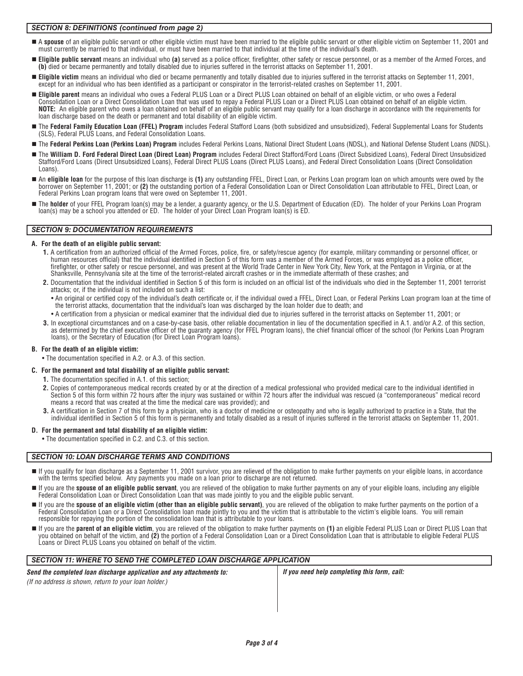# *SECTION 8: DEFINITIONS (continued from page 2)*

- A spouse of an eligible public servant or other eligible victim must have been married to the eligible public servant or other eligible victim on September 11, 2001 and must currently be married to that individual, or must have been married to that individual at the time of the individual's death.
- Eligible public servant means an individual who (a) served as a police officer, firefighter, other safety or rescue personnel, or as a member of the Armed Forces, and **(b)** died or became permanently and totally disabled due to injuries suffered in the terrorist attacks on September 11, 2001.
- � **Eligible victim** means an individual who died or became permanently and totally disabled due to injuries suffered in the terrorist attacks on September 11, 2001, except for an individual who has been identified as a participant or conspirator in the terrorist-related crashes on September 11, 2001.
- � **Eligible parent** means an individual who owes a Federal PLUS Loan or a Direct PLUS Loan obtained on behalf of an eligible victim, or who owes a Federal Consolidation Loan or a Direct Consolidation Loan that was used to repay a Federal PLUS Loan or a Direct PLUS Loan obtained on behalf of an eligible victim. **NOTE:** An eligible parent who owes a loan obtained on behalf of an eligible public servant may qualify for a loan discharge in accordance with the requirements for loan discharge based on the death or permanent and total disability of an eligible victim.
- � The **Federal Family Education Loan (FFEL) Program** includes Federal Stafford Loans (both subsidized and unsubsidized), Federal Supplemental Loans for Students (SLS), Federal PLUS Loans, and Federal Consolidation Loans.
- � The **Federal Perkins Loan (Perkins Loan) Program** includes Federal Perkins Loans, National Direct Student Loans (NDSL), and National Defense Student Loans (NDSL).
- � The **William D. Ford Federal Direct Loan (Direct Loan) Program** includes Federal Direct Stafford/Ford Loans (Direct Subsidized Loans), Federal Direct Unsubsidized Stafford/Ford Loans (Direct Unsubsidized Loans), Federal Direct PLUS Loans (Direct PLUS Loans), and Federal Direct Consolidation Loans (Direct Consolidation Loans).
- An eligible loan for the purpose of this loan discharge is (1) any outstanding FFEL, Direct Loan, or Perkins Loan program loan on which amounts were owed by the borrower on September 11, 2001; or **(2)** the outstanding portion of a Federal Consolidation Loan or Direct Consolidation Loan attributable to FFEL, Direct Loan, or Federal Perkins Loan program loans that were owed on September 11, 2001.
- The holder of your FFEL Program loan(s) may be a lender, a guaranty agency, or the U.S. Department of Education (ED). The holder of your Perkins Loan Program loan(s) may be a school you attended or ED. The holder of your Direct Loan Program loan(s) is ED.

# *SECTION 9: DOCUMENTATION REQUIREMENTS*

### **A. For the death of an eligible public servant:**

- **1.** A certification from an authorized official of the Armed Forces, police, fire, or safety/rescue agency (for example, military commanding or personnel officer, or human resources official) that the individual identified in Section 5 of this form was a member of the Armed Forces, or was employed as a police officer, firefighter, or other safety or rescue personnel, and was present at the World Trade Center in New York City, New York, at the Pentagon in Virginia, or at the Shanksville, Pennsylvania site at the time of the terrorist-related aircraft crashes or in the immediate aftermath of these crashes; and
- **2.** Documentation that the individual identified in Section 5 of this form is included on an official list of the individuals who died in the September 11, 2001 terrorist attacks; or, if the individual is not included on such a list:
	- An original or certified copy of the individual's death certificate or, if the individual owed a FFEL, Direct Loan, or Federal Perkins Loan program loan at the time of the terrorist attacks, documentation that the individual's loan was discharged by the loan holder due to death; and
	- A certification from a physician or medical examiner that the individual died due to injuries suffered in the terrorist attacks on September 11, 2001; or
- **3.** In exceptional circumstances and on a case-by-case basis, other reliable documentation in lieu of the documentation specified in A.1. and/or A.2. of this section, as determined by the chief executive officer of the guaranty agency (for FFEL Program loans), the chief financial officer of the school (for Perkins Loan Program loans), or the Secretary of Education (for Direct Loan Program loans).

### **B. For the death of an eligible victim:**

• The documentation specified in A.2. or A.3. of this section.

### **C. For the permanent and total disability of an eligible public servant:**

- **1.** The documentation specified in A.1. of this section;
- **2.** Copies of contemporaneous medical records created by or at the direction of a medical professional who provided medical care to the individual identified in Section 5 of this form within 72 hours after the injury was sustained or within 72 hours after the individual was rescued (a "contemporaneous" medical record means a record that was created at the time the medical care was provided); and
- **3.** A certification in Section 7 of this form by a physician, who is a doctor of medicine or osteopathy and who is legally authorized to practice in a State, that the individual identified in Section 5 of this form is permanently and totally disabled as a result of injuries suffered in the terrorist attacks on September 11, 2001.

### **D. For the permanent and total disability of an eligible victim:**

• The documentation specified in C.2. and C.3. of this section.

### *SECTION 10: LOAN DISCHARGE TERMS AND CONDITIONS*

- If you qualify for loan discharge as a September 11, 2001 survivor, you are relieved of the obligation to make further payments on your eligible loans, in accordance with the terms specified below. Any payments you made on a loan prior to discharge are not returned.
- If you are the **spouse of an eligible public servant**, you are relieved of the obligation to make further payments on any of your eligible loans, including any eligible Federal Consolidation Loan or Direct Consolidation Loan that was made jointly to you and the eligible public servant.
- � If you are the **spouse of an eligible victim (other than an eligible public servant)**, you are relieved of the obligation to make further payments on the portion of a Federal Consolidation Loan or a Direct Consolidation loan made jointly to you and the victim that is attributable to the victim's eligible loans. You will remain responsible for repaying the portion of the consolidation loan that is attributable to your loans.
- � If you are the **parent of an eligible victim**, you are relieved of the obligation to make further payments on **(1)** an eligible Federal PLUS Loan or Direct PLUS Loan that you obtained on behalf of the victim, and **(2)** the portion of a Federal Consolidation Loan or a Direct Consolidation Loan that is attributable to eligible Federal PLUS Loans or Direct PLUS Loans you obtained on behalf of the victim.

# *SECTION 11: WHERE TO SEND THE COMPLETED LOAN DISCHARGE APPLICATION*

*Send the completed loan discharge application and any attachments to: If you need help completing this form, call:*